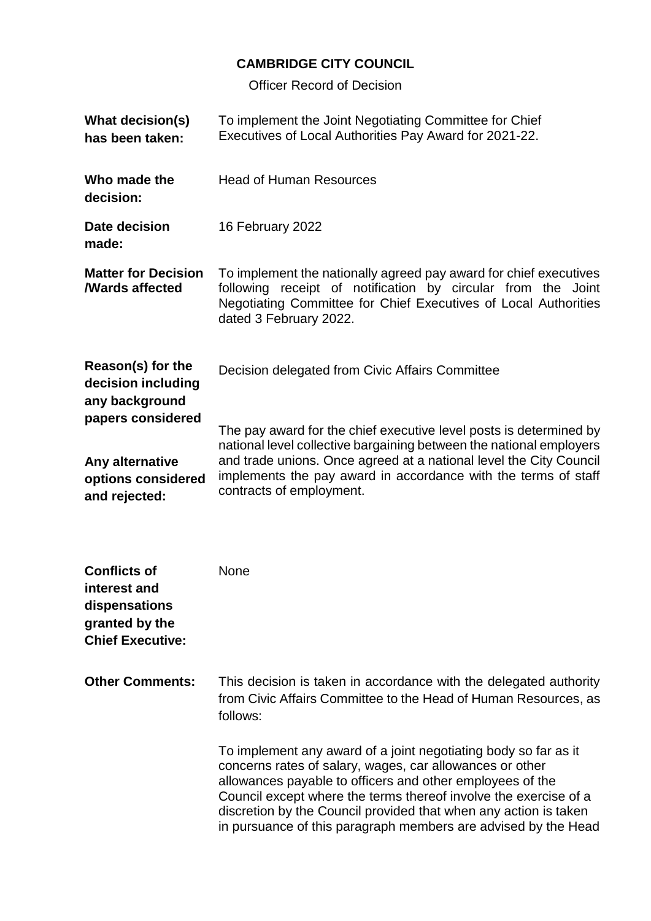## **CAMBRIDGE CITY COUNCIL**

Officer Record of Decision

| What decision(s)<br>has been taken:                                                               | To implement the Joint Negotiating Committee for Chief<br>Executives of Local Authorities Pay Award for 2021-22.                                                                                                                                                                                                                                                                                   |
|---------------------------------------------------------------------------------------------------|----------------------------------------------------------------------------------------------------------------------------------------------------------------------------------------------------------------------------------------------------------------------------------------------------------------------------------------------------------------------------------------------------|
| Who made the<br>decision:                                                                         | <b>Head of Human Resources</b>                                                                                                                                                                                                                                                                                                                                                                     |
| Date decision<br>made:                                                                            | 16 February 2022                                                                                                                                                                                                                                                                                                                                                                                   |
| <b>Matter for Decision</b><br><b><i>Nards affected</i></b>                                        | To implement the nationally agreed pay award for chief executives<br>following receipt of notification by circular from the Joint<br>Negotiating Committee for Chief Executives of Local Authorities<br>dated 3 February 2022.                                                                                                                                                                     |
| Reason(s) for the<br>decision including<br>any background                                         | Decision delegated from Civic Affairs Committee                                                                                                                                                                                                                                                                                                                                                    |
| papers considered<br>Any alternative<br>options considered<br>and rejected:                       | The pay award for the chief executive level posts is determined by<br>national level collective bargaining between the national employers<br>and trade unions. Once agreed at a national level the City Council<br>implements the pay award in accordance with the terms of staff<br>contracts of employment.                                                                                      |
|                                                                                                   |                                                                                                                                                                                                                                                                                                                                                                                                    |
| <b>Conflicts of</b><br>interest and<br>dispensations<br>granted by the<br><b>Chief Executive:</b> | None                                                                                                                                                                                                                                                                                                                                                                                               |
| <b>Other Comments:</b>                                                                            | This decision is taken in accordance with the delegated authority<br>from Civic Affairs Committee to the Head of Human Resources, as<br>follows:                                                                                                                                                                                                                                                   |
|                                                                                                   | To implement any award of a joint negotiating body so far as it<br>concerns rates of salary, wages, car allowances or other<br>allowances payable to officers and other employees of the<br>Council except where the terms thereof involve the exercise of a<br>discretion by the Council provided that when any action is taken<br>in pursuance of this paragraph members are advised by the Head |